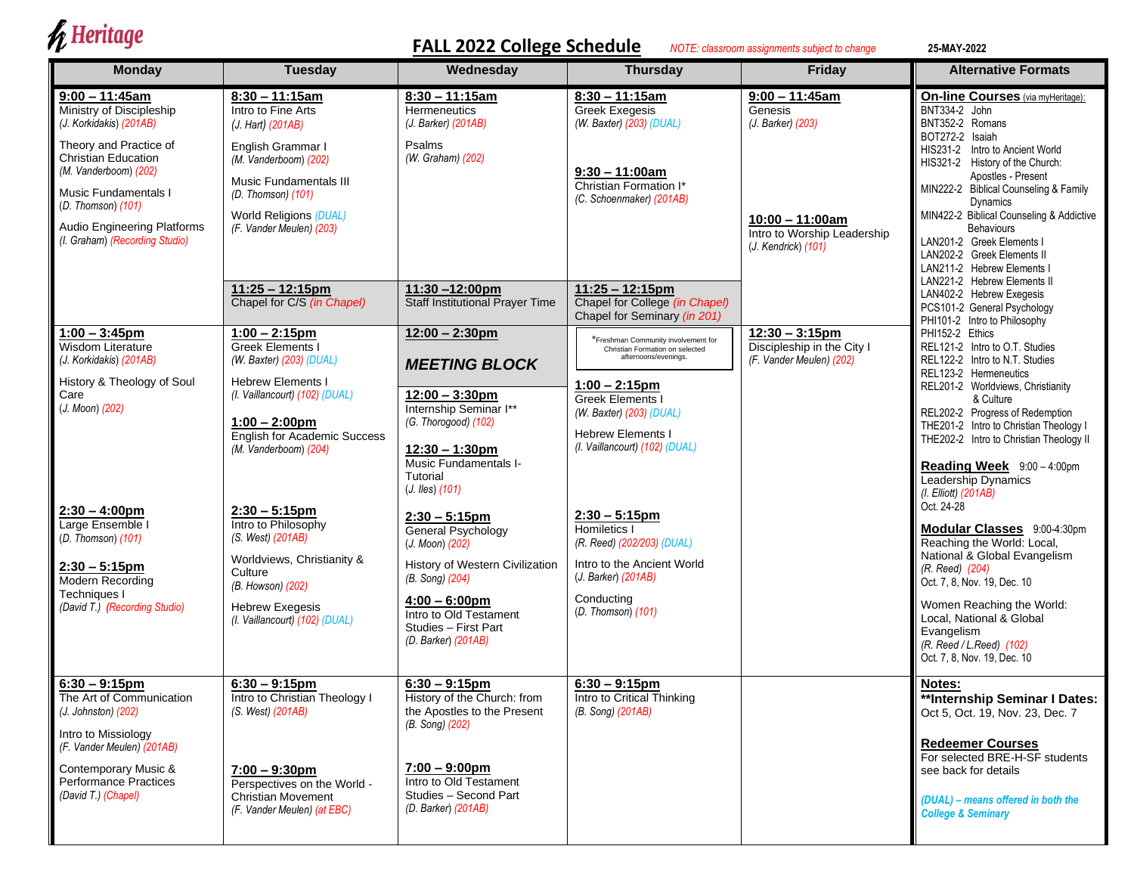## $\oint$  Heritage

## **FALL 2022 College Schedule** *NOTE: classroom assignments subject to change* **25-MAY-2022**

| <b>Monday</b>                                                                                                                                                                                                                                                                  | <b>Tuesday</b>                                                                                                                                                                                                                                                                                                                                                                                                    | Wednesday                                                                                                                                                                                                                                                                                                                                                                                            | <b>Thursday</b>                                                                                                                                                                                                                                                                                                                                                                                                                                        | Friday                                                                                                                        | <b>Alternative Formats</b>                                                                                                                                                                                                                                                                                                                                                                                                                                                                                                                                                                                                |  |
|--------------------------------------------------------------------------------------------------------------------------------------------------------------------------------------------------------------------------------------------------------------------------------|-------------------------------------------------------------------------------------------------------------------------------------------------------------------------------------------------------------------------------------------------------------------------------------------------------------------------------------------------------------------------------------------------------------------|------------------------------------------------------------------------------------------------------------------------------------------------------------------------------------------------------------------------------------------------------------------------------------------------------------------------------------------------------------------------------------------------------|--------------------------------------------------------------------------------------------------------------------------------------------------------------------------------------------------------------------------------------------------------------------------------------------------------------------------------------------------------------------------------------------------------------------------------------------------------|-------------------------------------------------------------------------------------------------------------------------------|---------------------------------------------------------------------------------------------------------------------------------------------------------------------------------------------------------------------------------------------------------------------------------------------------------------------------------------------------------------------------------------------------------------------------------------------------------------------------------------------------------------------------------------------------------------------------------------------------------------------------|--|
| $9:00 - 11:45am$<br>Ministry of Discipleship<br>(J. Korkidakis) (201AB)<br>Theory and Practice of<br><b>Christian Education</b><br>(M. Vanderboom) (202)<br>Music Fundamentals I<br>(D. Thomson) (101)<br><b>Audio Engineering Platforms</b><br>(I. Graham) (Recording Studio) | $8:30 - 11:15am$<br>Intro to Fine Arts<br>(J. Hart) (201AB)<br>English Grammar I<br>(M. Vanderboom) (202)<br><b>Music Fundamentals III</b><br>(D. Thomson) (101)<br>World Religions (DUAL)<br>(F. Vander Meulen) (203)                                                                                                                                                                                            | $8:30 - 11:15am$<br><b>Hermeneutics</b><br>(J. Barker) (201AB)<br>Psalms<br>(W. Graham) (202)                                                                                                                                                                                                                                                                                                        | $8:30 - 11:15am$<br><b>Greek Exegesis</b><br>(W. Baxter) $(203)$ (DUAL)<br>$9:30 - 11:00am$<br>Christian Formation I*<br>(C. Schoenmaker) (201AB)                                                                                                                                                                                                                                                                                                      | $9:00 - 11:45$ am<br>Genesis<br>(J. Barker) (203)<br>$10:00 - 11:00$ am<br>Intro to Worship Leadership<br>(J. Kendrick) (101) | <b>On-line Courses</b> (via myHeritage):<br>BNT334-2 John<br>BNT352-2 Romans<br>BOT272-2 Isaiah<br>HIS231-2 Intro to Ancient World<br>HIS321-2 History of the Church:<br>Apostles - Present<br>MIN222-2 Biblical Counseling & Family<br><b>Dynamics</b><br>MIN422-2 Biblical Counseling & Addictive<br><b>Behaviours</b><br>LAN201-2 Greek Elements I<br>LAN202-2 Greek Elements II<br>LAN211-2 Hebrew Elements I<br>LAN221-2 Hebrew Elements II                                                                                                                                                                          |  |
| $1:00 - 3:45$ pm<br>Wisdom Literature<br>(J. Korkidakis) (201AB)<br>History & Theology of Soul<br>Care<br>(J. Moon) (202)<br>$2:30 - 4:00$ pm<br>Large Ensemble I<br>(D. Thomson) (101)<br>$2:30 - 5:15$ pm<br>Modern Recording<br>Techniques I                                | $11:25 - 12:15$ pm<br>Chapel for C/S (in Chapel)<br>$1:00 - 2:15pm$<br><b>Greek Elements I</b><br>(W. Baxter) (203) (DUAL)<br><b>Hebrew Elements I</b><br>(I. Vaillancourt) (102) (DUAL)<br>$1:00 - 2:00 \text{pm}$<br><b>English for Academic Success</b><br>(M. Vanderboom) (204)<br>$2:30 - 5:15$ pm<br>Intro to Philosophy<br>(S. West) (201AB)<br>Worldviews, Christianity &<br>Culture<br>(B. Howson) (202) | 11:30-12:00pm<br>Staff Institutional Prayer Time<br>$12:00 - 2:30$ pm<br><b>MEETING BLOCK</b><br>$12:00 - 3:30$ pm<br>Internship Seminar I**<br>(G. Thorogood) (102)<br>$12:30 - 1:30 \text{pm}$<br><b>Music Fundamentals I-</b><br>Tutorial<br>$(J.$ <i>Iles</i> $)(101)$<br>$2:30 - 5:15$ pm<br><b>General Psychology</b><br>(J. Moon) (202)<br>History of Western Civilization<br>(B. Song) (204) | $11:25 - 12:15$ pm<br>Chapel for College (in Chapel)<br>Chapel for Seminary (in 201)<br>*Freshman Community involvement for<br>Christian Formation on selected<br>afternoons/evenings.<br>$1:00 - 2:15$ pm<br>Greek Elements I<br>(W. Baxter) (203) (DUAL)<br><b>Hebrew Elements I</b><br>(I. Vaillancourt) (102) (DUAL)<br>$2:30 - 5:15 \text{pm}$<br>Homiletics I<br>(R. Reed) (202/203) (DUAL)<br>Intro to the Ancient World<br>(J. Barker) (201AB) | $12:30 - 3:15$ pm<br>Discipleship in the City I<br>(F. Vander Meulen) (202)                                                   | LAN402-2 Hebrew Exegesis<br>PCS101-2 General Psychology<br>PHI101-2 Intro to Philosophy<br>PHI152-2 Ethics<br>REL121-2 Intro to O.T. Studies<br>REL122-2 Intro to N.T. Studies<br>REL123-2 Hermeneutics<br>REL201-2 Worldviews, Christianity<br>& Culture<br>REL202-2 Progress of Redemption<br>THE201-2 Intro to Christian Theology I<br>THE202-2 Intro to Christian Theology II<br>Reading Week 9:00-4:00pm<br>Leadership Dynamics<br>(I. Elliott) (201AB)<br>Oct. 24-28<br>Modular Classes 9:00-4:30pm<br>Reaching the World: Local,<br>National & Global Evangelism<br>(R. Reed) (204)<br>Oct. 7, 8, Nov. 19, Dec. 10 |  |
| (David T.) (Recording Studio)<br>$6:30 - 9:15$ pm<br>The Art of Communication<br>$(J.$ Johnston) $(202)$<br>Intro to Missiology<br>(F. Vander Meulen) (201AB)<br>Contemporary Music &<br><b>Performance Practices</b><br>(David T.) (Chapel)                                   | <b>Hebrew Exegesis</b><br>(I. Vaillancourt) (102) (DUAL)<br>$6:30 - 9:15$ pm<br>Intro to Christian Theology I<br>(S. West) (201AB)<br>$7:00 - 9:30$ pm<br>Perspectives on the World -<br><b>Christian Movement</b><br>(F. Vander Meulen) (at EBC)                                                                                                                                                                 | $4:00 - 6:00$ pm<br>Intro to Old Testament<br>Studies - First Part<br>(D. Barker) (201AB)<br>$6:30 - 9:15pm$<br>History of the Church: from<br>the Apostles to the Present<br>(B. Song) (202)<br>$7:00 - 9:00 \text{pm}$<br>Intro to Old Testament<br>Studies - Second Part<br>$(D. Barker)$ $(201AB)$                                                                                               | Conducting<br>$(D. Thomson)$ (101)<br>$6:30 - 9:15$ pm<br><b>Intro to Critical Thinking</b><br>(B. Song) (201AB)                                                                                                                                                                                                                                                                                                                                       |                                                                                                                               | Women Reaching the World:<br>Local, National & Global<br>Evangelism<br>(R. Reed / L. Reed) (102)<br>Oct. 7, 8, Nov. 19, Dec. 10<br>Notes:<br>**Internship Seminar I Dates:<br>Oct 5, Oct. 19, Nov. 23, Dec. 7<br><b>Redeemer Courses</b><br>For selected BRE-H-SF students<br>see back for details<br>(DUAL) - means offered in both the<br><b>College &amp; Seminary</b>                                                                                                                                                                                                                                                 |  |